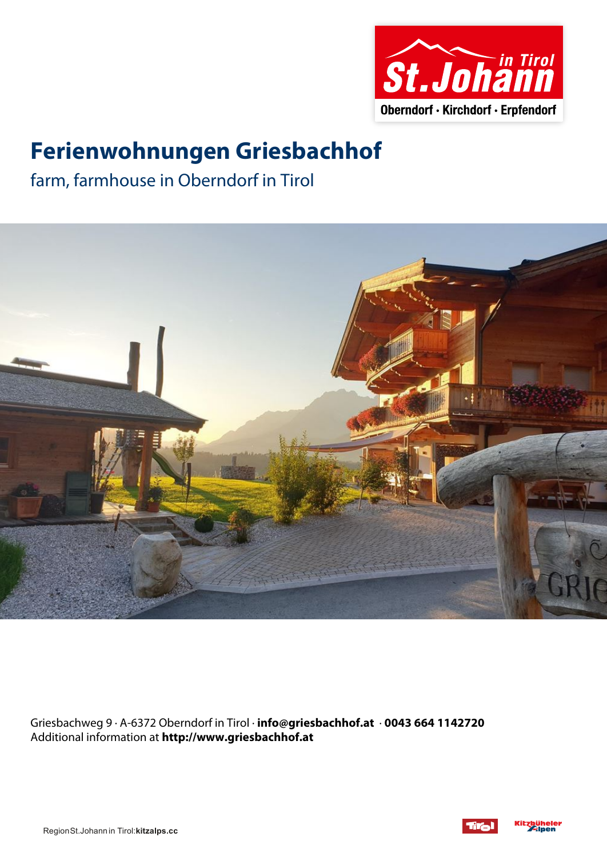

# **Ferienwohnungen Griesbachhof**

farm, farmhouse in Oberndorf in Tirol



Griesbachweg 9 · A-6372 Oberndorf in Tirol · **info@griesbachhof.at** · **0043 664 1142720** Additional information at **http://www.griesbachhof.at**



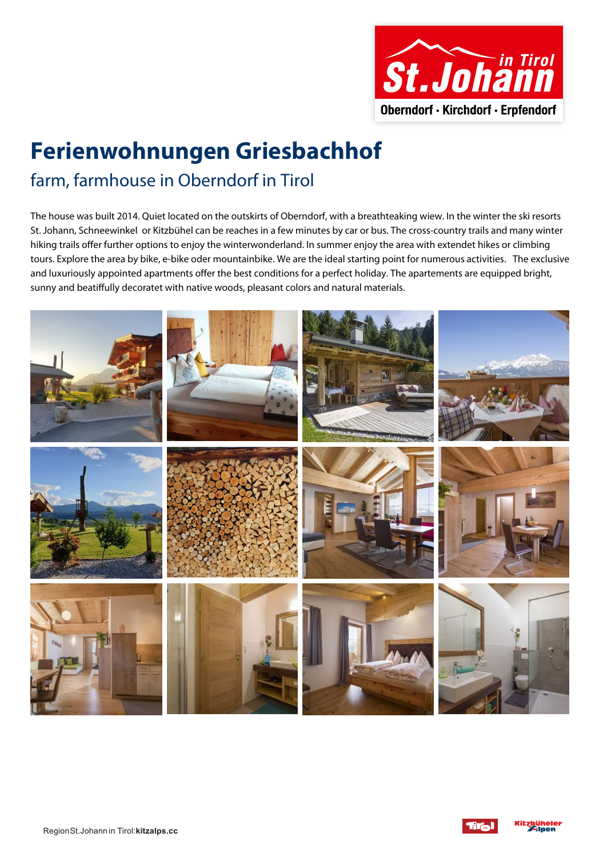

# **Ferienwohnungen Griesbachhof** farm, farmhouse in Oberndorf in Tirol

The house was built 2014. Quiet located on the outskirts of Oberndorf, with <sup>a</sup> breathteaking wiew. In the winter the ski resorts St. Johann, Schneewinkel or Kitzbühel can be reaches in <sup>a</sup> few minutes by car or bus. The cross-country trails and many winter hiking trails offer further options to enjoy the winterwonderland. In summer enjoy the area with extendet hikes or climbing tours. Explore the area by bike, e-bike oder mountainbike. We are the ideal starting point for numerous activities. The exclusive and luxuriously appointed apartments offer the best conditions for <sup>a</sup> perfect holiday. The apartements are equipped bright, sunny and beatiffully decoratet with native woods, pleasant colors and natural materials.



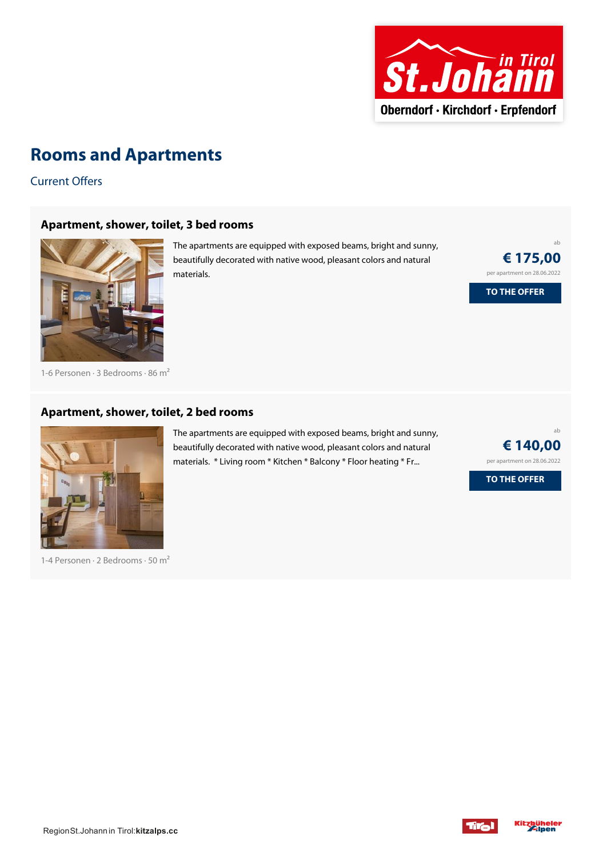

### **Rooms and Apartments**

Current Offers

#### **[Apartment,](https://www.kitzbueheler-alpen.com/en/stjo/accommodation/booking/ferienwohnungen-griesbachhof.html?utm_medium=PDF&utm_campaign=Vermieter-Prospekt&utm_source=Ferienwohnungen+Griesbachhof) shower, toilet, 3 bed rooms**



The apartments are equipped with exposed beams, bright and sunny, beautifully decorated with native wood, pleasant colors and natural materials.

ab **€ 175,00** per apartment on 28.06.2022

**TO THE OFFER**

1-6 Personen · 3 Bedrooms · 86 <sup>m</sup><sup>²</sup>

#### **[Apartment,](https://www.kitzbueheler-alpen.com/en/stjo/accommodation/booking/ferienwohnungen-griesbachhof.html?utm_medium=PDF&utm_campaign=Vermieter-Prospekt&utm_source=Ferienwohnungen+Griesbachhof) shower, toilet, 2 bed rooms**



1-4 Personen · 2 Bedrooms · 50 <sup>m</sup><sup>²</sup>

The apartments are equipped with exposed beams, bright and sunny, beautifully decorated with native wood, pleasant colors and natural materials. \* Living room \* Kitchen \* Balcony \* Floor heating \* Fr...